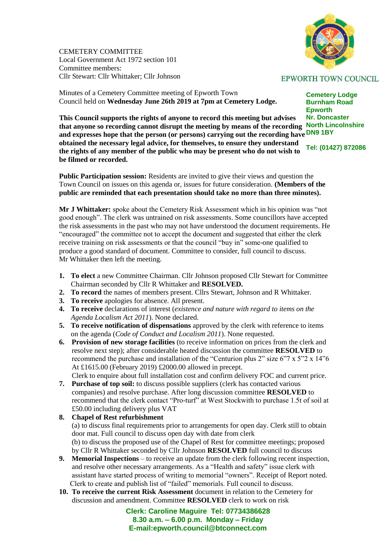CEMETERY COMMITTEE Local Government Act 1972 section 101 Committee members: Cllr Stewart: Cllr Whittaker; Cllr Johnson



**EPWORTH TOWN COUNCIL** 

**Cemetery Lodge Burnham Road Epworth**

Minutes of a Cemetery Committee meeting of Epworth Town Council held on **Wednesday June 26th 2019 at 7pm at Cemetery Lodge.** 

**Nr. Doncaster North Lincolnshire that anyone so recording cannot disrupt the meeting by means of the recording**  and expresses hope that the person (or persons) carrying out the recording have **DN9 1BY Tel: (01427) 872086 This Council supports the rights of anyone to record this meeting but advises obtained the necessary legal advice, for themselves, to ensure they understand the rights of any member of the public who may be present who do not wish to be filmed or recorded.**

**Public Participation session:** Residents are invited to give their views and question the Town Council on issues on this agenda or, issues for future consideration. **(Members of the public are reminded that each presentation should take no more than three minutes).**

**Mr J Whittaker:** spoke about the Cemetery Risk Assessment which in his opinion was "not good enough". The clerk was untrained on risk assessments. Some councillors have accepted the risk assessments in the past who may not have understood the document requirements. He "encouraged" the committee not to accept the document and suggested that either the clerk receive training on risk assessments or that the council "buy in" some-one qualified to produce a good standard of document. Committee to consider, full council to discuss. Mr Whittaker then left the meeting.

- **1. To elect** a new Committee Chairman. Cllr Johnson proposed Cllr Stewart for Committee Chairman seconded by Cllr R Whittaker and **RESOLVED.**
- **2. To record** the names of members present. Cllrs Stewart, Johnson and R Whittaker.
- **3. To receive** apologies for absence. All present.
- **4. To receive** declarations of interest (*existence and nature with regard to items on the Agenda Localism Act 2011*). None declared.
- **5. To receive notification of dispensations** approved by the clerk with reference to items on the agenda (*Code of Conduct and Localism 2011*). None requested.
- **6. Provision of new storage facilities** (to receive information on prices from the clerk and resolve next step); after considerable heated discussion the committee **RESOLVED** to recommend the purchase and installation of the "Centurion plus 2" size 6"7 x 5"2 x 14"6 At £1615.00 (February 2019) £2000.00 allowed in precept.

Clerk to enquire about full installation cost and confirm delivery FOC and current price.

**7. Purchase of top soil:** to discuss possible suppliers (clerk has contacted various companies) and resolve purchase. After long discussion committee **RESOLVED** to recommend that the clerk contact "Pro-turf" at West Stockwith to purchase 1.5t of soil at £50.00 including delivery plus VAT

## **8. Chapel of Rest refurbishment** (a) to discuss final requirements prior to arrangements for open day. Clerk still to obtain door mat. Full council to discuss open day with date from clerk (b) to discuss the proposed use of the Chapel of Rest for committee meetings; proposed by Cllr R Whittaker seconded by Cllr Johnson **RESOLVED** full council to discuss

- **9. Memorial Inspections** to receive an update from the clerk following recent inspection, and resolve other necessary arrangements. As a "Health and safety" issue clerk with assistant have started process of writing to memorial "owners". Receipt of Report noted. Clerk to create and publish list of "failed" memorials. Full council to discuss.
- **10. To receive the current Risk Assessment** document in relation to the Cemetery for discussion and amendment. Committee **RESOLVED** clerk to work on risk

**Clerk: Caroline Maguire Tel: 07734386628 8.30 a.m. – 6.00 p.m. Monday – Friday E-mail:epworth.council@btconnect.com**